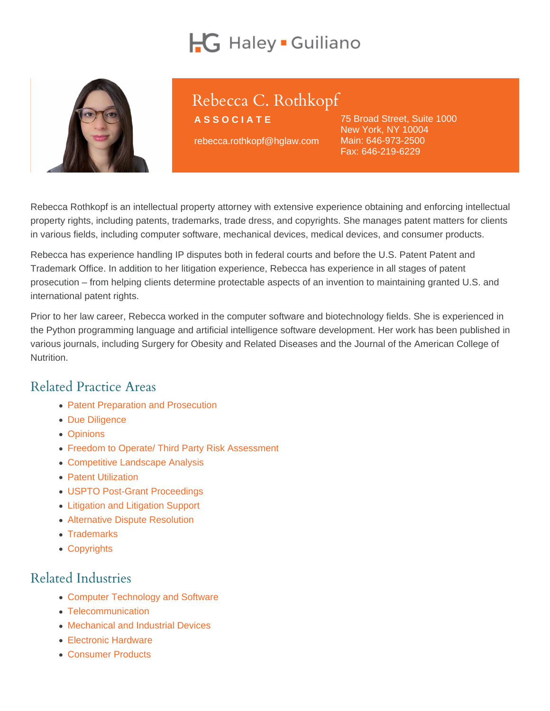# Rebecca C. Rothkopf

ASSOCIATE

rebecca.rothkopf@hglaw.com

75 Broad Street, Suite 1000 New York, NY 10004 Main: [646-973-2500](tel:+1-646-973-2500) Fax: 646-219-6229

Rebecca Rothkopf is an intellectual property attorney with extensive experience obtaining and enforcing intellectual property rights, including patents, trademarks, trade dress, and copyrights. She manages patent matters for clients in various fields, including computer software, mechanical devices, medical devices, and consumer products.

Rebecca has experience handling IP disputes both in federal courts and before the U.S. Patent Patent and Trademark Office. In addition to her litigation experience, Rebecca has experience in all stages of patent prosecution – from helping clients determine protectable aspects of an invention to maintaining granted U.S. and international patent rights.

Prior to her law career, Rebecca worked in the computer software and biotechnology fields. She is experienced in the Python programming language and artificial intelligence software development. Her work has been published in various journals, including Surgery for Obesity and Related Diseases and the Journal of the American College of Nutrition.

#### Related Practice Areas

- [Patent Preparation and Prosecution](https://www.hglaw.com/practice-areas/patents/patent-preparation-prosecution/)
- [Due Diligence](https://www.hglaw.com/practice-areas/strategic-counseling/due-diligence/)
- [Opinions](https://www.hglaw.com/practice-areas/strategic-counseling/opinions/)
- [Freedom to Operate/ Third Party Risk Assessment](https://www.hglaw.com/practice-areas/strategic-counseling/freedom-to-operate-third-party-risk-assessment/)
- [Competitive Landscape Analysis](https://www.hglaw.com/practice-areas/strategic-counseling/competitive-landscape-analysis/)
- [Patent Utilization](https://www.hglaw.com/practice-areas/strategic-counseling/patent-utilization/)
- [USPTO Post-Grant Proceedings](https://www.hglaw.com/practice-areas/contested-proceedings/uspto-post-grant-proceedings/)
- [Litigation and Litigation Support](https://www.hglaw.com/practice-areas/contested-proceedings/litigation-support/)
- [Alternative Dispute Resolution](https://www.hglaw.com/practice-areas/contested-proceedings/alternative-dispute-resolution/)
- [Trademarks](https://www.hglaw.com/practice-areas/trademarks/)
- [Copyrights](https://www.hglaw.com/practice-areas/copyrights/)

#### Related Industries

- [Computer Technology and Software](https://www.hglaw.com/industries/computer-technology-software/)
- [Telecommunication](https://www.hglaw.com/industries/telecommunications/)
- [Mechanical and Industrial Devices](https://www.hglaw.com/industries/mechanical-industrial-devices/)
- **[Electronic Hardware](https://www.hglaw.com/industries/electronic-hardware/)**
- [Consumer Products](https://www.hglaw.com/industries/consumer-products/)